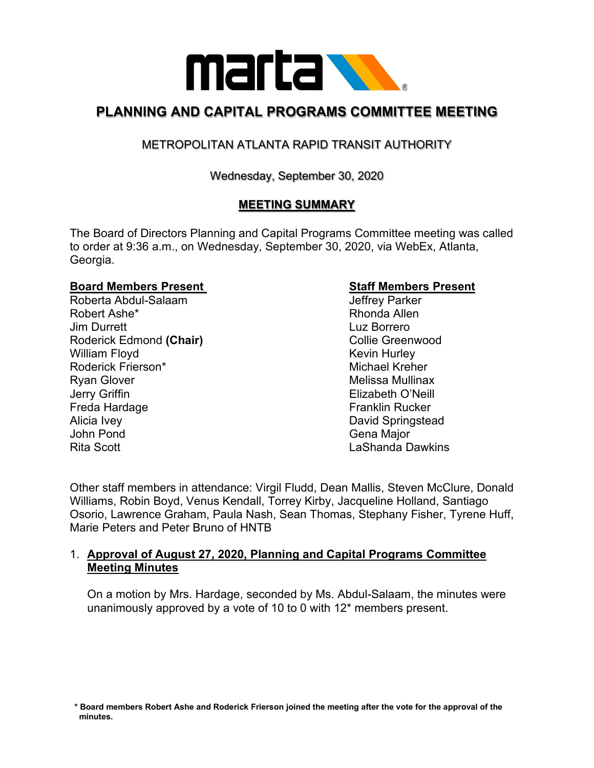

## **PLANNING AND CAPITAL PROGRAMS COMMITTEE MEETING**

### METROPOLITAN ATLANTA RAPID TRANSIT AUTHORITY

#### Wednesday, September 30, 2020

#### **MEETING SUMMARY**

The Board of Directors Planning and Capital Programs Committee meeting was called to order at 9:36 a.m., on Wednesday, September 30, 2020, via WebEx, Atlanta, Georgia.

# **Board Members Present New Staff Members Present**<br>Roberta Abdul-Salaam New Staff Parker

Roberta Abdul-Salaam Robert Ashe\* **Rhonda Allen** Jim Durrett Luz Borrero Roderick Edmond (Chair) **Collie Greenwood** Collie Greenwood William Floyd **Kevin Hurley** Kevin Hurley Roderick Frierson\* Michael Kreher Ryan Glover **Melissa Mullinax** Melissa Mullinax Jerry Griffin Elizabeth O'Neill Freda Hardage **Franklin** Rucker Alicia Ivey David Springstead John Pond Gena Major Rita Scott LaShanda Dawkins

Other staff members in attendance: Virgil Fludd, Dean Mallis, Steven McClure, Donald Williams, Robin Boyd, Venus Kendall, Torrey Kirby, Jacqueline Holland, Santiago Osorio, Lawrence Graham, Paula Nash, Sean Thomas, Stephany Fisher, Tyrene Huff, Marie Peters and Peter Bruno of HNTB

#### 1. **Approval of August 27, 2020, Planning and Capital Programs Committee Meeting Minutes**

On a motion by Mrs. Hardage, seconded by Ms. Abdul-Salaam, the minutes were unanimously approved by a vote of 10 to 0 with 12\* members present.

 **\* Board members Robert Ashe and Roderick Frierson joined the meeting after the vote for the approval of the minutes.**